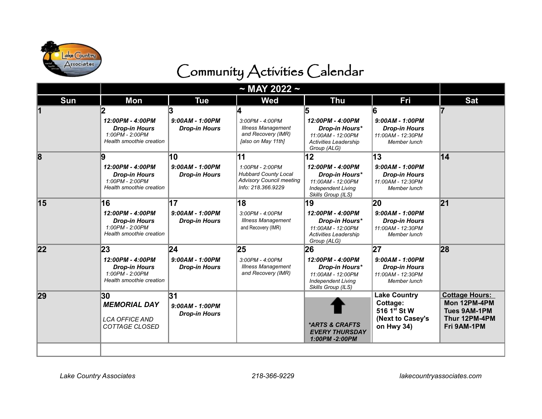

## Community Activities Calendar

| Sun | <b>Mon</b>                                                                                      | <b>Tue</b>                                      | <b>Wed</b>                                                                                                    | <b>Thu</b>                                                                                                       | Fri                                                                                           | <b>Sat</b>                                                                                   |
|-----|-------------------------------------------------------------------------------------------------|-------------------------------------------------|---------------------------------------------------------------------------------------------------------------|------------------------------------------------------------------------------------------------------------------|-----------------------------------------------------------------------------------------------|----------------------------------------------------------------------------------------------|
|     | 12:00PM - 4:00PM<br><b>Drop-in Hours</b><br>1:00PM - 2:00PM<br>Health smoothie creation         | $9:00AM - 1:00PM$<br><b>Drop-in Hours</b>       | $3:00PM - 4:00PM$<br><b>Illness Management</b><br>and Recovery (IMR)<br>[also on May 11th]                    | 12:00PM - 4:00PM<br>Drop-in Hours*<br>11:00AM - 12:00PM<br>Activities Leadership<br>Group (ALG)                  | ĥ<br>$9:00AM - 1:00PM$<br><b>Drop-in Hours</b><br>11:00AM - 12:30PM<br>Member lunch           |                                                                                              |
| 8   | 9<br>12:00PM - 4:00PM<br><b>Drop-in Hours</b><br>1:00PM - 2:00PM<br>Health smoothie creation    | 10<br>$9:00AM - 1:00PM$<br><b>Drop-in Hours</b> | 11<br>1:00PM - 2:00PM<br><b>Hubbard County Local</b><br><b>Advisory Council meeting</b><br>Info: 218.366.9229 | 12<br>12:00PM - 4:00PM<br>Drop-in Hours*<br>11:00AM - 12:00PM<br><b>Independent Living</b><br>Skills Group (ILS) | 13<br>$9:00AM - 1:00PM$<br><b>Drop-in Hours</b><br>11:00AM - 12:30PM<br>Member lunch          | 14                                                                                           |
| 15  | 16<br>12:00PM - 4:00PM<br><b>Drop-in Hours</b><br>1:00PM - 2:00PM<br>Health smoothie creation   | 17<br>$9:00AM - 1:00PM$<br><b>Drop-in Hours</b> | 18<br>$3:00PM - 4:00PM$<br><b>Illness Management</b><br>and Recovery (IMR)                                    | 19<br>12:00PM - 4:00PM<br>Drop-in Hours*<br>11:00AM - 12:00PM<br><b>Activities Leadership</b><br>Group (ALG)     | 20<br>$9:00AM - 1:00PM$<br><b>Drop-in Hours</b><br>11:00AM - 12:30PM<br>Member lunch          | 21                                                                                           |
| 22  | 23<br>12:00PM - 4:00PM<br><b>Drop-in Hours</b><br>$1:00PM - 2:00PM$<br>Health smoothie creation | 24<br>$9:00AM - 1:00PM$<br><b>Drop-in Hours</b> | 25<br>$3:00PM - 4:00PM$<br><b>Illness Management</b><br>and Recovery (IMR)                                    | 26<br>12:00PM - 4:00PM<br>Drop-in Hours*<br>11:00AM - 12:00PM<br><b>Independent Living</b><br>Skills Group (ILS) | 27<br>$9:00AM - 1:00PM$<br><b>Drop-in Hours</b><br>11:00AM - 12:30PM<br>Member lunch          | 28                                                                                           |
| 29  | 30<br><b>MEMORIAL DAY</b><br><b>LCA OFFICE AND</b><br>COTTAGE CLOSED                            | 31<br>$9:00AM - 1:00PM$<br><b>Drop-in Hours</b> |                                                                                                               | *ARTS & CRAFTS<br><b>EVERY THURSDAY</b><br>1:00PM -2:00PM                                                        | <b>Lake Country</b><br>Cottage:<br>516 1 <sup>st</sup> St W<br>(Next to Casey's<br>on Hwy 34) | <b>Cottage Hours:</b><br>Mon 12PM-4PM<br><b>Tues 9AM-1PM</b><br>Thur 12PM-4PM<br>Fri 9AM-1PM |
|     |                                                                                                 |                                                 |                                                                                                               |                                                                                                                  |                                                                                               |                                                                                              |